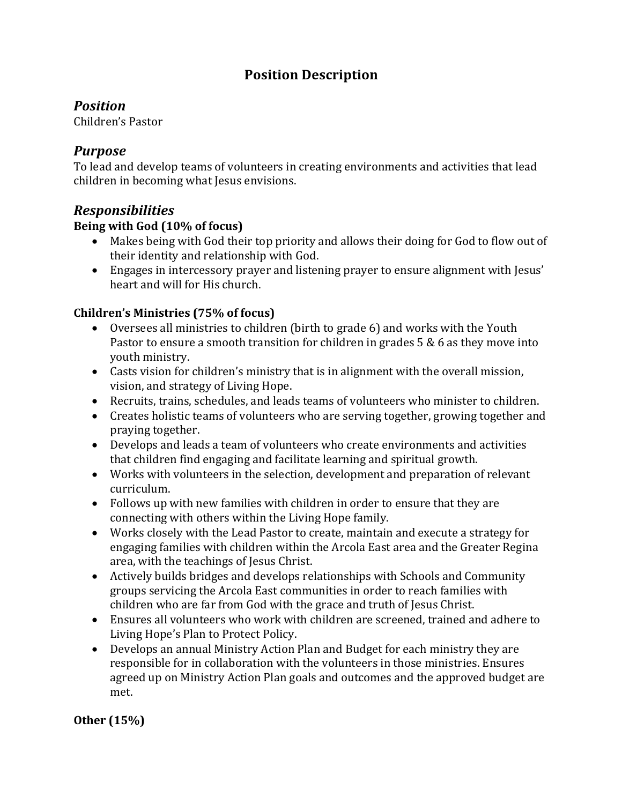# **Position Description**

## *Position*

Children's Pastor

### *Purpose*

To lead and develop teams of volunteers in creating environments and activities that lead children in becoming what Jesus envisions.

## *Responsibilities*

#### Being with God (10% of focus)

- Makes being with God their top priority and allows their doing for God to flow out of their identity and relationship with God.
- Engages in intercessory prayer and listening prayer to ensure alignment with Jesus' heart and will for His church.

#### **Children's Ministries (75% of focus)**

- Oversees all ministries to children (birth to grade 6) and works with the Youth Pastor to ensure a smooth transition for children in grades  $5 & 6$  as they move into youth ministry.
- Casts vision for children's ministry that is in alignment with the overall mission, vision, and strategy of Living Hope.
- Recruits, trains, schedules, and leads teams of volunteers who minister to children.
- Creates holistic teams of volunteers who are serving together, growing together and praying together.
- Develops and leads a team of volunteers who create environments and activities that children find engaging and facilitate learning and spiritual growth.
- Works with volunteers in the selection, development and preparation of relevant curriculum.
- Follows up with new families with children in order to ensure that they are connecting with others within the Living Hope family.
- Works closely with the Lead Pastor to create, maintain and execute a strategy for engaging families with children within the Arcola East area and the Greater Regina area, with the teachings of Jesus Christ.
- Actively builds bridges and develops relationships with Schools and Community groups servicing the Arcola East communities in order to reach families with children who are far from God with the grace and truth of Jesus Christ.
- Ensures all volunteers who work with children are screened, trained and adhere to Living Hope's Plan to Protect Policy.
- Develops an annual Ministry Action Plan and Budget for each ministry they are responsible for in collaboration with the volunteers in those ministries. Ensures agreed up on Ministry Action Plan goals and outcomes and the approved budget are met.

#### **Other (15%)**